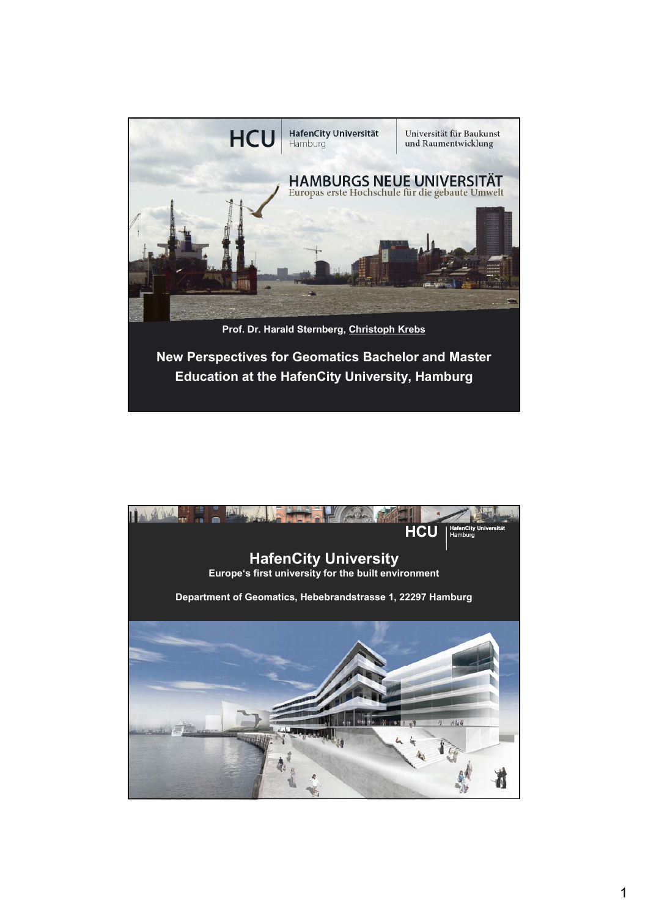

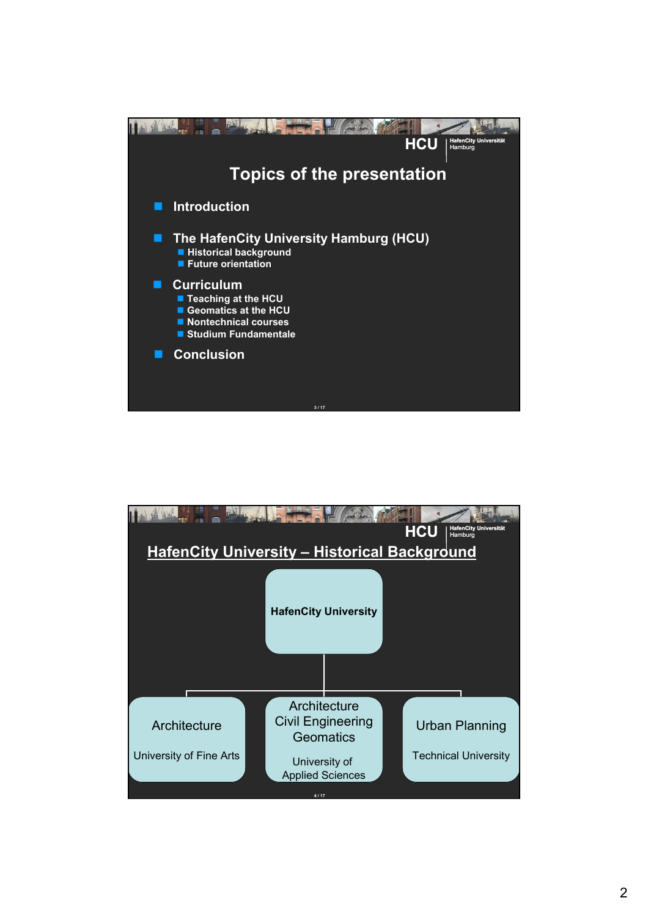

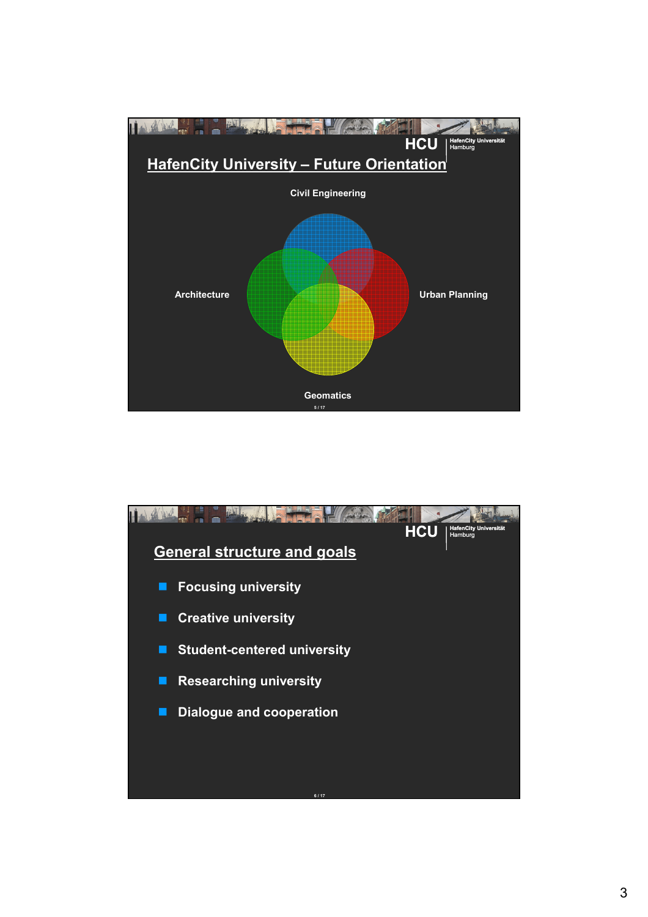

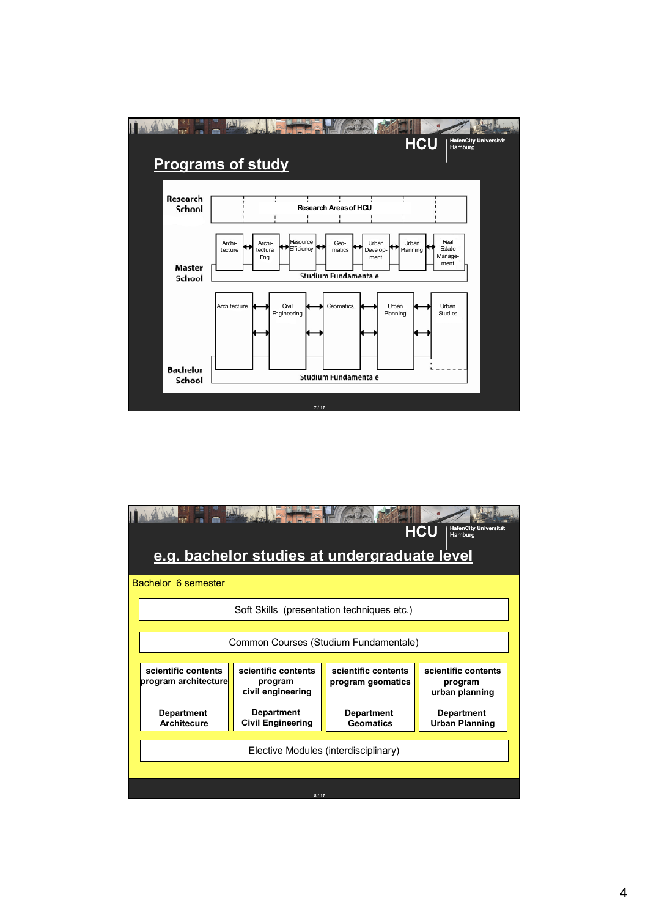

|                                                                     |                                                     |                                          | <b>HafenCity Universität</b><br><b>HCU</b><br>Hamburg |
|---------------------------------------------------------------------|-----------------------------------------------------|------------------------------------------|-------------------------------------------------------|
| e.g. bachelor studies at undergraduate level<br>Bachelor 6 semester |                                                     |                                          |                                                       |
| Soft Skills (presentation techniques etc.)                          |                                                     |                                          |                                                       |
| Common Courses (Studium Fundamentale)                               |                                                     |                                          |                                                       |
| scientific contents<br>program architecture                         | scientific contents<br>program<br>civil engineering | scientific contents<br>program geomatics | scientific contents<br>program<br>urban planning      |
| <b>Department</b><br><b>Architecure</b>                             | <b>Department</b><br><b>Civil Engineering</b>       | <b>Department</b><br><b>Geomatics</b>    | <b>Department</b><br><b>Urban Planning</b>            |
| Elective Modules (interdisciplinary)                                |                                                     |                                          |                                                       |
| 8/17                                                                |                                                     |                                          |                                                       |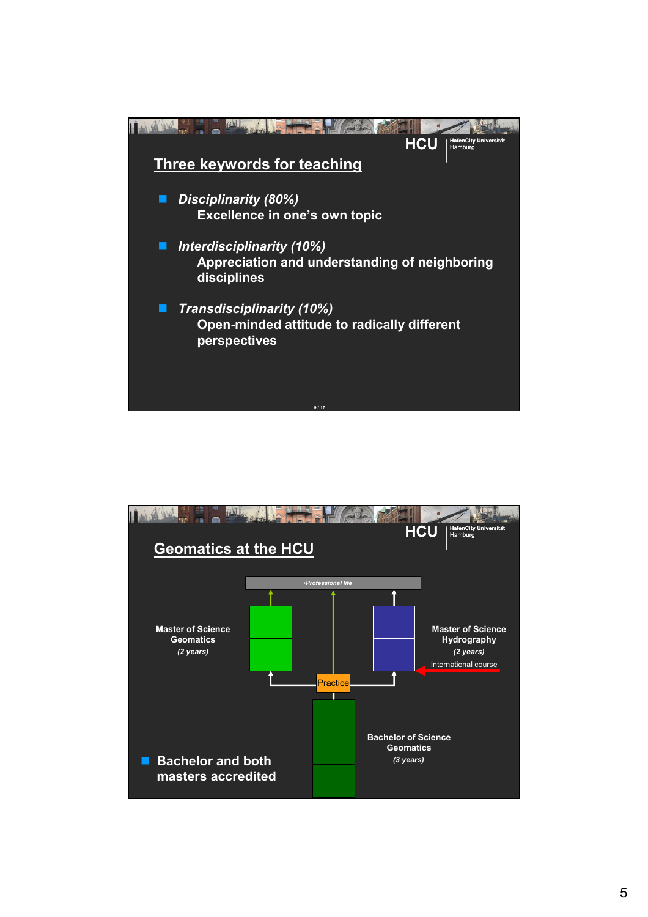

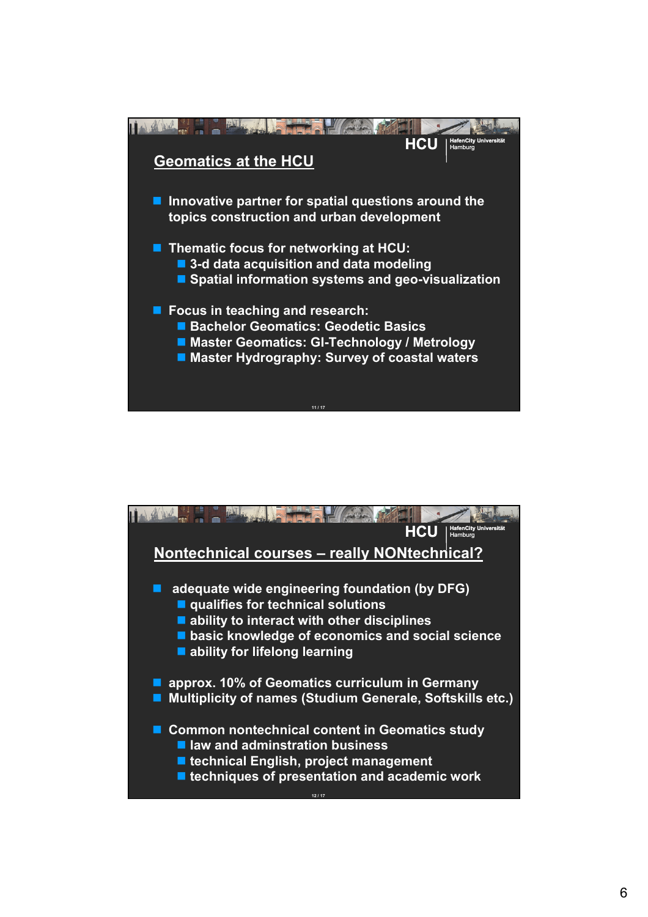

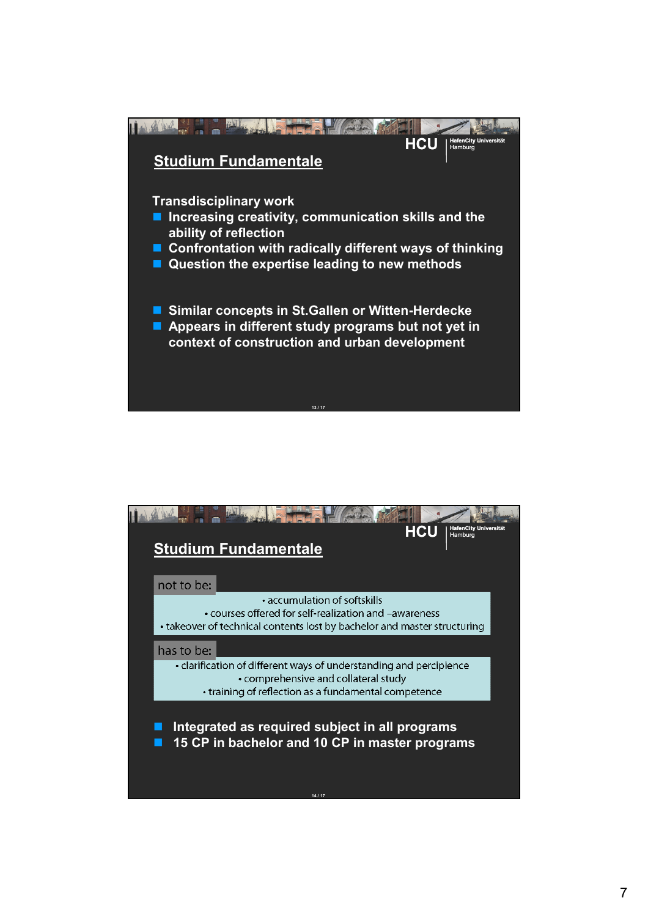

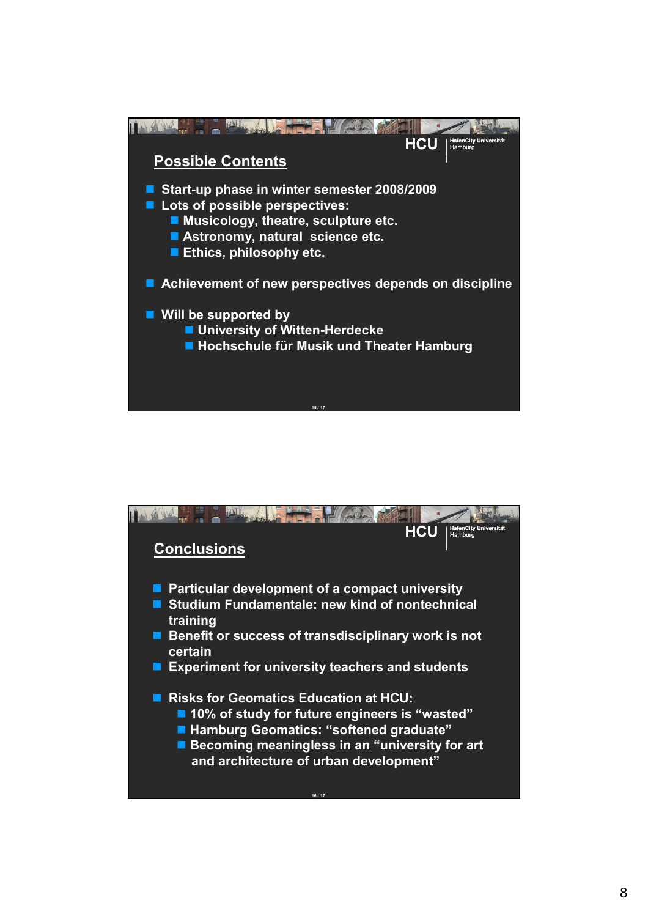